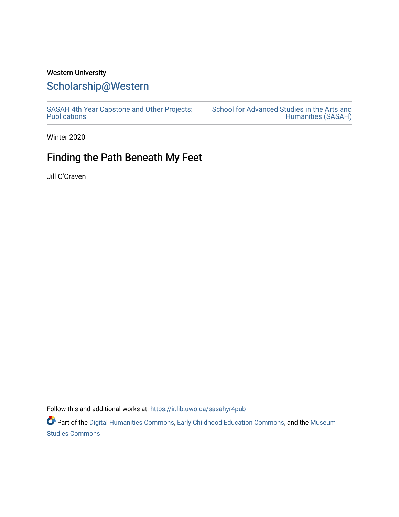## Western University

## [Scholarship@Western](https://ir.lib.uwo.ca/)

[SASAH 4th Year Capstone and Other Projects:](https://ir.lib.uwo.ca/sasahyr4pub)  **Publications** 

[School for Advanced Studies in the Arts and](https://ir.lib.uwo.ca/sasah)  [Humanities \(SASAH\)](https://ir.lib.uwo.ca/sasah) 

Winter 2020

## Finding the Path Beneath My Feet

Jill O'Craven

Follow this and additional works at: [https://ir.lib.uwo.ca/sasahyr4pub](https://ir.lib.uwo.ca/sasahyr4pub?utm_source=ir.lib.uwo.ca%2Fsasahyr4pub%2F20&utm_medium=PDF&utm_campaign=PDFCoverPages) 

Part of the [Digital Humanities Commons](http://network.bepress.com/hgg/discipline/1286?utm_source=ir.lib.uwo.ca%2Fsasahyr4pub%2F20&utm_medium=PDF&utm_campaign=PDFCoverPages), [Early Childhood Education Commons](http://network.bepress.com/hgg/discipline/1377?utm_source=ir.lib.uwo.ca%2Fsasahyr4pub%2F20&utm_medium=PDF&utm_campaign=PDFCoverPages), and the [Museum](http://network.bepress.com/hgg/discipline/1366?utm_source=ir.lib.uwo.ca%2Fsasahyr4pub%2F20&utm_medium=PDF&utm_campaign=PDFCoverPages) [Studies Commons](http://network.bepress.com/hgg/discipline/1366?utm_source=ir.lib.uwo.ca%2Fsasahyr4pub%2F20&utm_medium=PDF&utm_campaign=PDFCoverPages)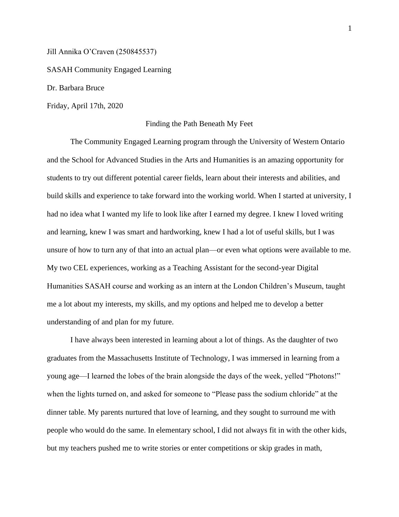Jill Annika O'Craven (250845537)

SASAH Community Engaged Learning

Dr. Barbara Bruce

Friday, April 17th, 2020

## Finding the Path Beneath My Feet

The Community Engaged Learning program through the University of Western Ontario and the School for Advanced Studies in the Arts and Humanities is an amazing opportunity for students to try out different potential career fields, learn about their interests and abilities, and build skills and experience to take forward into the working world. When I started at university, I had no idea what I wanted my life to look like after I earned my degree. I knew I loved writing and learning, knew I was smart and hardworking, knew I had a lot of useful skills, but I was unsure of how to turn any of that into an actual plan—or even what options were available to me. My two CEL experiences, working as a Teaching Assistant for the second-year Digital Humanities SASAH course and working as an intern at the London Children's Museum, taught me a lot about my interests, my skills, and my options and helped me to develop a better understanding of and plan for my future.

I have always been interested in learning about a lot of things. As the daughter of two graduates from the Massachusetts Institute of Technology, I was immersed in learning from a young age—I learned the lobes of the brain alongside the days of the week, yelled "Photons!" when the lights turned on, and asked for someone to "Please pass the sodium chloride" at the dinner table. My parents nurtured that love of learning, and they sought to surround me with people who would do the same. In elementary school, I did not always fit in with the other kids, but my teachers pushed me to write stories or enter competitions or skip grades in math,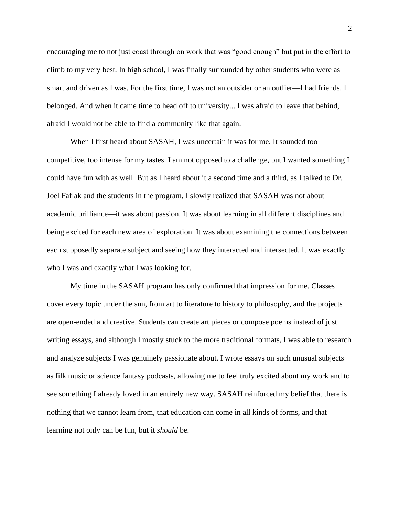encouraging me to not just coast through on work that was "good enough" but put in the effort to climb to my very best. In high school, I was finally surrounded by other students who were as smart and driven as I was. For the first time, I was not an outsider or an outlier—I had friends. I belonged. And when it came time to head off to university... I was afraid to leave that behind, afraid I would not be able to find a community like that again.

When I first heard about SASAH, I was uncertain it was for me. It sounded too competitive, too intense for my tastes. I am not opposed to a challenge, but I wanted something I could have fun with as well. But as I heard about it a second time and a third, as I talked to Dr. Joel Faflak and the students in the program, I slowly realized that SASAH was not about academic brilliance—it was about passion. It was about learning in all different disciplines and being excited for each new area of exploration. It was about examining the connections between each supposedly separate subject and seeing how they interacted and intersected. It was exactly who I was and exactly what I was looking for.

My time in the SASAH program has only confirmed that impression for me. Classes cover every topic under the sun, from art to literature to history to philosophy, and the projects are open-ended and creative. Students can create art pieces or compose poems instead of just writing essays, and although I mostly stuck to the more traditional formats, I was able to research and analyze subjects I was genuinely passionate about. I wrote essays on such unusual subjects as filk music or science fantasy podcasts, allowing me to feel truly excited about my work and to see something I already loved in an entirely new way. SASAH reinforced my belief that there is nothing that we cannot learn from, that education can come in all kinds of forms, and that learning not only can be fun, but it *should* be.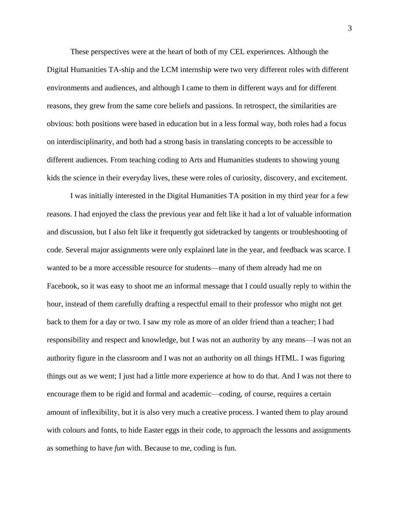These perspectives were at the heart of both of my CEL experiences. Although the Digital Humanities TA-ship and the LCM internship were two very different roles with different environments and audiences, and although I came to them in different ways and for different reasons, they grew from the same core beliefs and passions. In retrospect, the similarities are obvious: both positions were based in education but in a less formal way, both roles had a focus on interdisciplinarity, and both had a strong basis in translating concepts to be accessible to different audiences. From teaching coding to Arts and Humanities students to showing young kids the science in their everyday lives, these were roles of curiosity, discovery, and excitement.

I was initially interested in the Digital Humanities TA position in my third year for a few reasons. I had enjoyed the class the previous year and felt like it had a lot of valuable information and discussion, but I also felt like it frequently got sidetracked by tangents or troubleshooting of code. Several major assignments were only explained late in the year, and feedback was scarce. I wanted to be a more accessible resource for students—many of them already had me on Facebook, so it was easy to shoot me an informal message that I could usually reply to within the hour, instead of them carefully drafting a respectful email to their professor who might not get back to them for a day or two. I saw my role as more of an older friend than a teacher; I had responsibility and respect and knowledge, but I was not an authority by any means—I was not an authority figure in the classroom and I was not an authority on all things HTML. I was figuring things out as we went; I just had a little more experience at how to do that. And I was not there to encourage them to be rigid and formal and academic—coding, of course, requires a certain amount of inflexibility, but it is also very much a creative process. I wanted them to play around with colours and fonts, to hide Easter eggs in their code, to approach the lessons and assignments as something to have *fun* with. Because to me, coding is fun.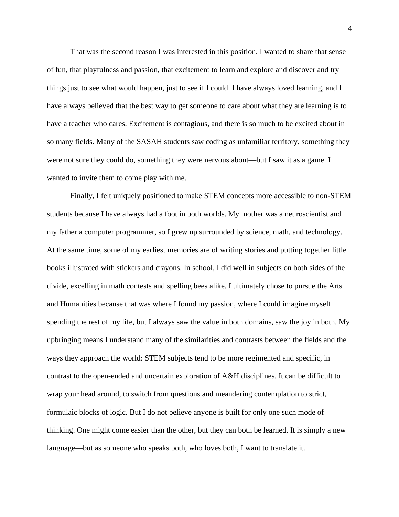That was the second reason I was interested in this position. I wanted to share that sense of fun, that playfulness and passion, that excitement to learn and explore and discover and try things just to see what would happen, just to see if I could. I have always loved learning, and I have always believed that the best way to get someone to care about what they are learning is to have a teacher who cares. Excitement is contagious, and there is so much to be excited about in so many fields. Many of the SASAH students saw coding as unfamiliar territory, something they were not sure they could do, something they were nervous about—but I saw it as a game. I wanted to invite them to come play with me.

Finally, I felt uniquely positioned to make STEM concepts more accessible to non-STEM students because I have always had a foot in both worlds. My mother was a neuroscientist and my father a computer programmer, so I grew up surrounded by science, math, and technology. At the same time, some of my earliest memories are of writing stories and putting together little books illustrated with stickers and crayons. In school, I did well in subjects on both sides of the divide, excelling in math contests and spelling bees alike. I ultimately chose to pursue the Arts and Humanities because that was where I found my passion, where I could imagine myself spending the rest of my life, but I always saw the value in both domains, saw the joy in both. My upbringing means I understand many of the similarities and contrasts between the fields and the ways they approach the world: STEM subjects tend to be more regimented and specific, in contrast to the open-ended and uncertain exploration of A&H disciplines. It can be difficult to wrap your head around, to switch from questions and meandering contemplation to strict, formulaic blocks of logic. But I do not believe anyone is built for only one such mode of thinking. One might come easier than the other, but they can both be learned. It is simply a new language—but as someone who speaks both, who loves both, I want to translate it.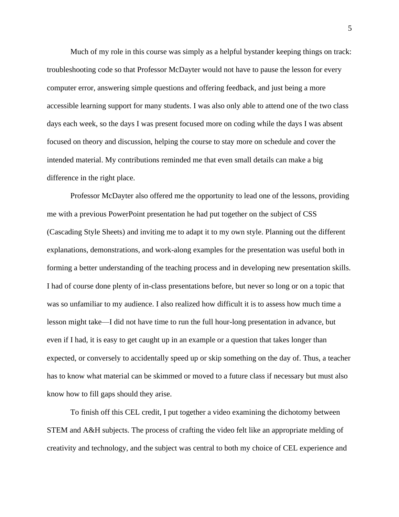Much of my role in this course was simply as a helpful bystander keeping things on track: troubleshooting code so that Professor McDayter would not have to pause the lesson for every computer error, answering simple questions and offering feedback, and just being a more accessible learning support for many students. I was also only able to attend one of the two class days each week, so the days I was present focused more on coding while the days I was absent focused on theory and discussion, helping the course to stay more on schedule and cover the intended material. My contributions reminded me that even small details can make a big difference in the right place.

Professor McDayter also offered me the opportunity to lead one of the lessons, providing me with a previous PowerPoint presentation he had put together on the subject of CSS (Cascading Style Sheets) and inviting me to adapt it to my own style. Planning out the different explanations, demonstrations, and work-along examples for the presentation was useful both in forming a better understanding of the teaching process and in developing new presentation skills. I had of course done plenty of in-class presentations before, but never so long or on a topic that was so unfamiliar to my audience. I also realized how difficult it is to assess how much time a lesson might take—I did not have time to run the full hour-long presentation in advance, but even if I had, it is easy to get caught up in an example or a question that takes longer than expected, or conversely to accidentally speed up or skip something on the day of. Thus, a teacher has to know what material can be skimmed or moved to a future class if necessary but must also know how to fill gaps should they arise.

To finish off this CEL credit, I put together a video examining the dichotomy between STEM and A&H subjects. The process of crafting the video felt like an appropriate melding of creativity and technology, and the subject was central to both my choice of CEL experience and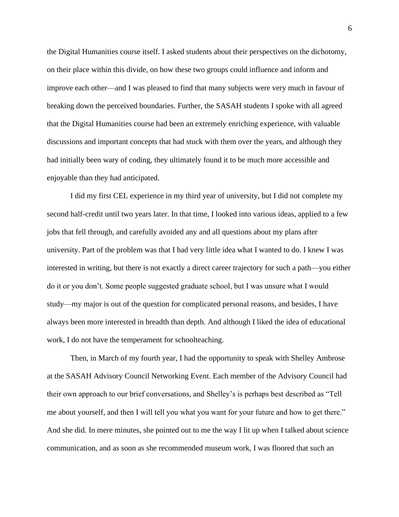the Digital Humanities course itself. I asked students about their perspectives on the dichotomy, on their place within this divide, on how these two groups could influence and inform and improve each other—and I was pleased to find that many subjects were very much in favour of breaking down the perceived boundaries. Further, the SASAH students I spoke with all agreed that the Digital Humanities course had been an extremely enriching experience, with valuable discussions and important concepts that had stuck with them over the years, and although they had initially been wary of coding, they ultimately found it to be much more accessible and enjoyable than they had anticipated.

I did my first CEL experience in my third year of university, but I did not complete my second half-credit until two years later. In that time, I looked into various ideas, applied to a few jobs that fell through, and carefully avoided any and all questions about my plans after university. Part of the problem was that I had very little idea what I wanted to do. I knew I was interested in writing, but there is not exactly a direct career trajectory for such a path—you either do it or you don't. Some people suggested graduate school, but I was unsure what I would study—my major is out of the question for complicated personal reasons, and besides, I have always been more interested in breadth than depth. And although I liked the idea of educational work, I do not have the temperament for schoolteaching.

Then, in March of my fourth year, I had the opportunity to speak with Shelley Ambrose at the SASAH Advisory Council Networking Event. Each member of the Advisory Council had their own approach to our brief conversations, and Shelley's is perhaps best described as "Tell me about yourself, and then I will tell you what you want for your future and how to get there." And she did. In mere minutes, she pointed out to me the way I lit up when I talked about science communication, and as soon as she recommended museum work, I was floored that such an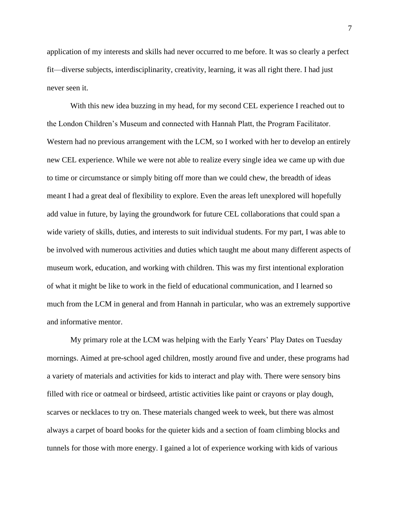application of my interests and skills had never occurred to me before. It was so clearly a perfect fit—diverse subjects, interdisciplinarity, creativity, learning, it was all right there. I had just never seen it.

With this new idea buzzing in my head, for my second CEL experience I reached out to the London Children's Museum and connected with Hannah Platt, the Program Facilitator. Western had no previous arrangement with the LCM, so I worked with her to develop an entirely new CEL experience. While we were not able to realize every single idea we came up with due to time or circumstance or simply biting off more than we could chew, the breadth of ideas meant I had a great deal of flexibility to explore. Even the areas left unexplored will hopefully add value in future, by laying the groundwork for future CEL collaborations that could span a wide variety of skills, duties, and interests to suit individual students. For my part, I was able to be involved with numerous activities and duties which taught me about many different aspects of museum work, education, and working with children. This was my first intentional exploration of what it might be like to work in the field of educational communication, and I learned so much from the LCM in general and from Hannah in particular, who was an extremely supportive and informative mentor.

My primary role at the LCM was helping with the Early Years' Play Dates on Tuesday mornings. Aimed at pre-school aged children, mostly around five and under, these programs had a variety of materials and activities for kids to interact and play with. There were sensory bins filled with rice or oatmeal or birdseed, artistic activities like paint or crayons or play dough, scarves or necklaces to try on. These materials changed week to week, but there was almost always a carpet of board books for the quieter kids and a section of foam climbing blocks and tunnels for those with more energy. I gained a lot of experience working with kids of various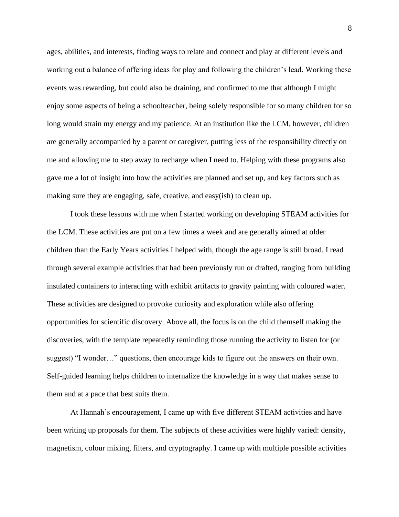ages, abilities, and interests, finding ways to relate and connect and play at different levels and working out a balance of offering ideas for play and following the children's lead. Working these events was rewarding, but could also be draining, and confirmed to me that although I might enjoy some aspects of being a schoolteacher, being solely responsible for so many children for so long would strain my energy and my patience. At an institution like the LCM, however, children are generally accompanied by a parent or caregiver, putting less of the responsibility directly on me and allowing me to step away to recharge when I need to. Helping with these programs also gave me a lot of insight into how the activities are planned and set up, and key factors such as making sure they are engaging, safe, creative, and easy(ish) to clean up.

I took these lessons with me when I started working on developing STEAM activities for the LCM. These activities are put on a few times a week and are generally aimed at older children than the Early Years activities I helped with, though the age range is still broad. I read through several example activities that had been previously run or drafted, ranging from building insulated containers to interacting with exhibit artifacts to gravity painting with coloured water. These activities are designed to provoke curiosity and exploration while also offering opportunities for scientific discovery. Above all, the focus is on the child themself making the discoveries, with the template repeatedly reminding those running the activity to listen for (or suggest) "I wonder…" questions, then encourage kids to figure out the answers on their own. Self-guided learning helps children to internalize the knowledge in a way that makes sense to them and at a pace that best suits them.

At Hannah's encouragement, I came up with five different STEAM activities and have been writing up proposals for them. The subjects of these activities were highly varied: density, magnetism, colour mixing, filters, and cryptography. I came up with multiple possible activities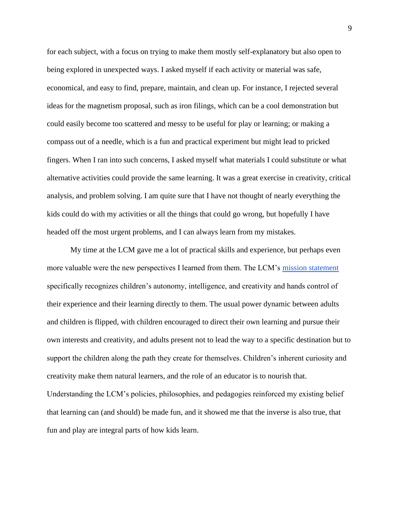for each subject, with a focus on trying to make them mostly self-explanatory but also open to being explored in unexpected ways. I asked myself if each activity or material was safe, economical, and easy to find, prepare, maintain, and clean up. For instance, I rejected several ideas for the magnetism proposal, such as iron filings, which can be a cool demonstration but could easily become too scattered and messy to be useful for play or learning; or making a compass out of a needle, which is a fun and practical experiment but might lead to pricked fingers. When I ran into such concerns, I asked myself what materials I could substitute or what alternative activities could provide the same learning. It was a great exercise in creativity, critical analysis, and problem solving. I am quite sure that I have not thought of nearly everything the kids could do with my activities or all the things that could go wrong, but hopefully I have headed off the most urgent problems, and I can always learn from my mistakes.

My time at the LCM gave me a lot of practical skills and experience, but perhaps even more valuable were the new perspectives I learned from them. The LCM's [mission statement](https://www.londonchildrensmuseum.ca/mission-and-pedagogy) specifically recognizes children's autonomy, intelligence, and creativity and hands control of their experience and their learning directly to them. The usual power dynamic between adults and children is flipped, with children encouraged to direct their own learning and pursue their own interests and creativity, and adults present not to lead the way to a specific destination but to support the children along the path they create for themselves. Children's inherent curiosity and creativity make them natural learners, and the role of an educator is to nourish that. Understanding the LCM's policies, philosophies, and pedagogies reinforced my existing belief that learning can (and should) be made fun, and it showed me that the inverse is also true, that fun and play are integral parts of how kids learn.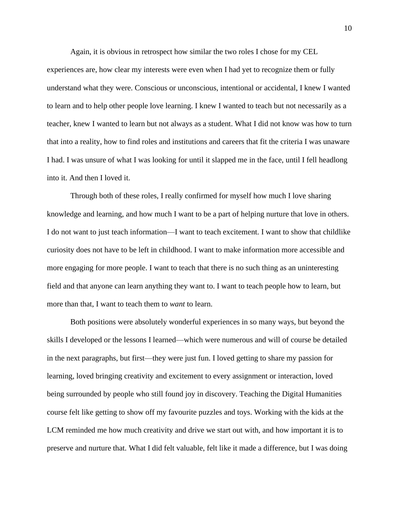Again, it is obvious in retrospect how similar the two roles I chose for my CEL

experiences are, how clear my interests were even when I had yet to recognize them or fully understand what they were. Conscious or unconscious, intentional or accidental, I knew I wanted to learn and to help other people love learning. I knew I wanted to teach but not necessarily as a teacher, knew I wanted to learn but not always as a student. What I did not know was how to turn that into a reality, how to find roles and institutions and careers that fit the criteria I was unaware I had. I was unsure of what I was looking for until it slapped me in the face, until I fell headlong into it. And then I loved it.

Through both of these roles, I really confirmed for myself how much I love sharing knowledge and learning, and how much I want to be a part of helping nurture that love in others. I do not want to just teach information—I want to teach excitement. I want to show that childlike curiosity does not have to be left in childhood. I want to make information more accessible and more engaging for more people. I want to teach that there is no such thing as an uninteresting field and that anyone can learn anything they want to. I want to teach people how to learn, but more than that, I want to teach them to *want* to learn.

Both positions were absolutely wonderful experiences in so many ways, but beyond the skills I developed or the lessons I learned—which were numerous and will of course be detailed in the next paragraphs, but first—they were just fun. I loved getting to share my passion for learning, loved bringing creativity and excitement to every assignment or interaction, loved being surrounded by people who still found joy in discovery. Teaching the Digital Humanities course felt like getting to show off my favourite puzzles and toys. Working with the kids at the LCM reminded me how much creativity and drive we start out with, and how important it is to preserve and nurture that. What I did felt valuable, felt like it made a difference, but I was doing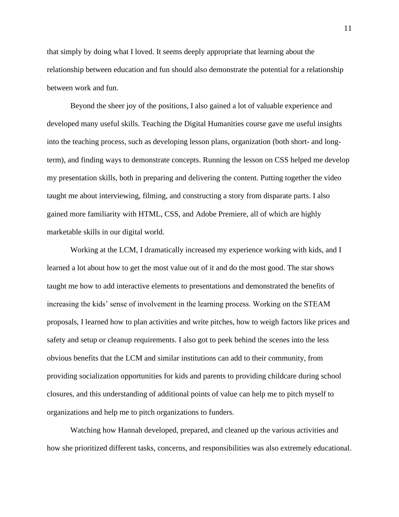that simply by doing what I loved. It seems deeply appropriate that learning about the relationship between education and fun should also demonstrate the potential for a relationship between work and fun.

Beyond the sheer joy of the positions, I also gained a lot of valuable experience and developed many useful skills. Teaching the Digital Humanities course gave me useful insights into the teaching process, such as developing lesson plans, organization (both short- and longterm), and finding ways to demonstrate concepts. Running the lesson on CSS helped me develop my presentation skills, both in preparing and delivering the content. Putting together the video taught me about interviewing, filming, and constructing a story from disparate parts. I also gained more familiarity with HTML, CSS, and Adobe Premiere, all of which are highly marketable skills in our digital world.

Working at the LCM, I dramatically increased my experience working with kids, and I learned a lot about how to get the most value out of it and do the most good. The star shows taught me how to add interactive elements to presentations and demonstrated the benefits of increasing the kids' sense of involvement in the learning process. Working on the STEAM proposals, I learned how to plan activities and write pitches, how to weigh factors like prices and safety and setup or cleanup requirements. I also got to peek behind the scenes into the less obvious benefits that the LCM and similar institutions can add to their community, from providing socialization opportunities for kids and parents to providing childcare during school closures, and this understanding of additional points of value can help me to pitch myself to organizations and help me to pitch organizations to funders.

Watching how Hannah developed, prepared, and cleaned up the various activities and how she prioritized different tasks, concerns, and responsibilities was also extremely educational.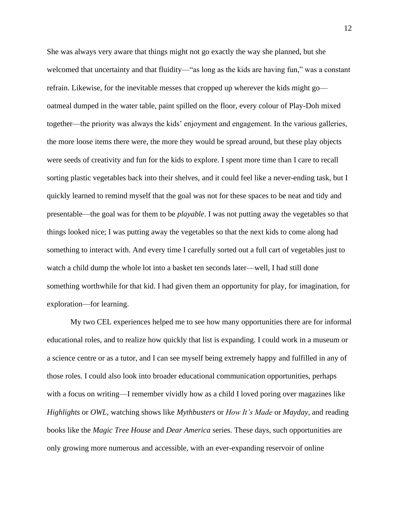She was always very aware that things might not go exactly the way she planned, but she welcomed that uncertainty and that fluidity—"as long as the kids are having fun," was a constant refrain. Likewise, for the inevitable messes that cropped up wherever the kids might go oatmeal dumped in the water table, paint spilled on the floor, every colour of Play-Doh mixed together—the priority was always the kids' enjoyment and engagement. In the various galleries, the more loose items there were, the more they would be spread around, but these play objects were seeds of creativity and fun for the kids to explore. I spent more time than I care to recall sorting plastic vegetables back into their shelves, and it could feel like a never-ending task, but I quickly learned to remind myself that the goal was not for these spaces to be neat and tidy and presentable—the goal was for them to be *playable*. I was not putting away the vegetables so that things looked nice; I was putting away the vegetables so that the next kids to come along had something to interact with. And every time I carefully sorted out a full cart of vegetables just to watch a child dump the whole lot into a basket ten seconds later—well, I had still done something worthwhile for that kid. I had given them an opportunity for play, for imagination, for exploration—for learning.

My two CEL experiences helped me to see how many opportunities there are for informal educational roles, and to realize how quickly that list is expanding. I could work in a museum or a science centre or as a tutor, and I can see myself being extremely happy and fulfilled in any of those roles. I could also look into broader educational communication opportunities, perhaps with a focus on writing—I remember vividly how as a child I loved poring over magazines like *Highlights* or *OWL*, watching shows like *Mythbusters* or *How It's Made* or *Mayday*, and reading books like the *Magic Tree House* and *Dear America* series. These days, such opportunities are only growing more numerous and accessible, with an ever-expanding reservoir of online